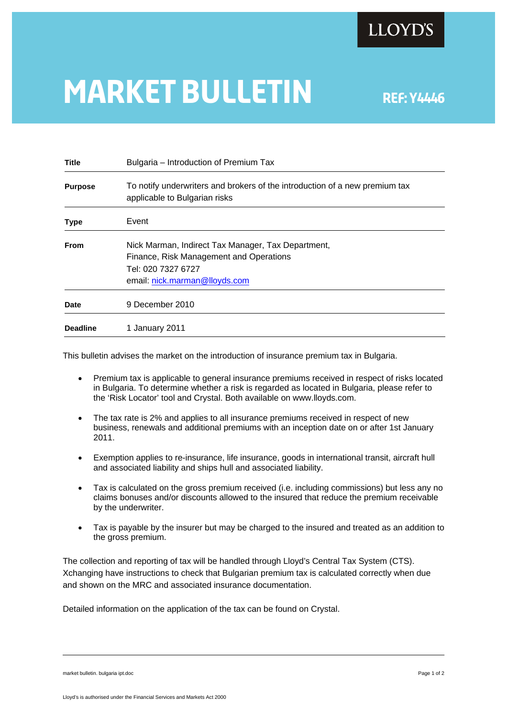

## **MARKET BULLETIN** REF: Y4446

| <b>Title</b>    | Bulgaria – Introduction of Premium Tax                                                                                                               |
|-----------------|------------------------------------------------------------------------------------------------------------------------------------------------------|
| <b>Purpose</b>  | To notify underwriters and brokers of the introduction of a new premium tax<br>applicable to Bulgarian risks                                         |
| <b>Type</b>     | Event                                                                                                                                                |
| <b>From</b>     | Nick Marman, Indirect Tax Manager, Tax Department,<br>Finance, Risk Management and Operations<br>Tel: 020 7327 6727<br>email: nick.marman@lloyds.com |
| <b>Date</b>     | 9 December 2010                                                                                                                                      |
| <b>Deadline</b> | 1 January 2011                                                                                                                                       |

This bulletin advises the market on the introduction of insurance premium tax in Bulgaria.

- Premium tax is applicable to general insurance premiums received in respect of risks located in Bulgaria. To determine whether a risk is regarded as located in Bulgaria, please refer to the 'Risk Locator' tool and Crystal. Both available on www.lloyds.com.
- The tax rate is 2% and applies to all insurance premiums received in respect of new business, renewals and additional premiums with an inception date on or after 1st January 2011.
- Exemption applies to re-insurance, life insurance, goods in international transit, aircraft hull and associated liability and ships hull and associated liability.
- Tax is calculated on the gross premium received (i.e. including commissions) but less any no claims bonuses and/or discounts allowed to the insured that reduce the premium receivable by the underwriter.
- Tax is payable by the insurer but may be charged to the insured and treated as an addition to the gross premium.

The collection and reporting of tax will be handled through Lloyd's Central Tax System (CTS). Xchanging have instructions to check that Bulgarian premium tax is calculated correctly when due and shown on the MRC and associated insurance documentation.

Detailed information on the application of the tax can be found on Crystal.

market bulletin. bulgaria ipt.doc **Page 1 of 2**